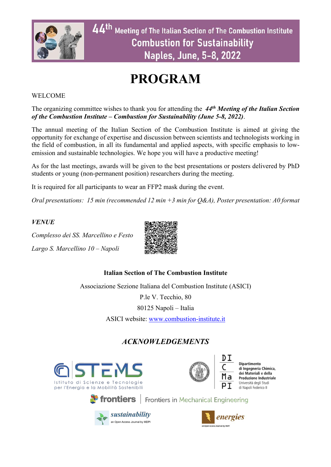

# **PROGRAM**

### WELCOME

The organizing committee wishes to thank you for attending the *44th Meeting of the Italian Section of the Combustion Institute – Combustion for Sustainability (June 5-8, 2022)*.

The annual meeting of the Italian Section of the Combustion Institute is aimed at giving the opportunity for exchange of expertise and discussion between scientists and technologists working in the field of combustion, in all its fundamental and applied aspects, with specific emphasis to lowemission and sustainable technologies. We hope you will have a productive meeting!

As for the last meetings, awards will be given to the best presentations or posters delivered by PhD students or young (non-permanent position) researchers during the meeting.

It is required for all participants to wear an FFP2 mask during the event.

*Oral presentations: 15 min (recommended 12 min +3 min for Q&A), Poster presentation: A0 format*

*VENUE*

*Complesso dei SS. Marcellino e Festo Largo S. Marcellino 10 – Napoli*



## **Italian Section of The Combustion Institute**

Associazione Sezione Italiana del Combustion Institute (ASICI)

P.le V. Tecchio, 80

80125 Napoli – Italia

ASICI website: www.combustion-institute.it

# *ACKNOWLEDGEMENTS*





Dipartimento<br>di Ingegneria Chimica, dei Materiali e della<br>Produzione Industriale Università degli Studi di Napoli Federico II

**Trontiers** | Frontiers in Mechanical Engineering



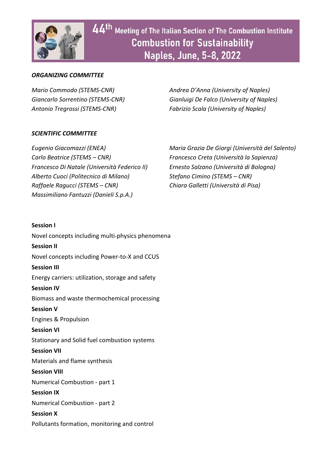

#### *ORGANIZING COMMITTEE*

*Mario Commodo (STEMS-CNR) Andrea D'Anna (University of Naples) Giancarlo Sorrentino (STEMS-CNR) Gianluigi De Falco (University of Naples) Antonio Tregrossi (STEMS-CNR) Fabrizio Scala (University of Naples)*

#### *SCIENTIFIC COMMITTEE*

*Carlo Beatrice (STEMS – CNR) Francesco Creta (Università la Sapienza) Francesco Di Natale (Università Federico II) Ernesto Salzano (Università di Bologna) Alberto Cuoci (Politecnico di Milano) Stefano Cimino (STEMS – CNR) Raffaele Ragucci (STEMS – CNR) Chiara Galletti (Università di Pisa) Massimiliano Fantuzzi (Danieli S.p.A.)*

*Eugenio Giacomazzi (ENEA) Maria Grazia De Giorgi (Università del Salento)*

# **Session I**

Novel concepts including multi-physics phenomena **Session II** Novel concepts including Power-to-X and CCUS **Session III** Energy carriers: utilization, storage and safety **Session IV** Biomass and waste thermochemical processing **Session V** Engines & Propulsion **Session VI** Stationary and Solid fuel combustion systems **Session VII** Materials and flame synthesis **Session VIII** Numerical Combustion - part 1 **Session IX** Numerical Combustion - part 2 **Session X** Pollutants formation, monitoring and control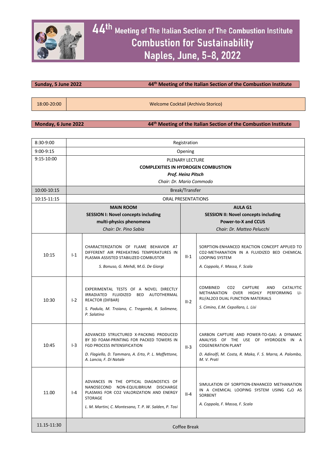

#### **Sunday, 5 June 2022 44th Meeting of the Italian Section of the Combustion Institute**

18:00-20:00 Welcome Cocktail (Archivio Storico)

**Monday, 6 June 2022 44th Meeting of the Italian Section of the Combustion Institute**

| $8:30-9:00$ | Registration |                                                                                                                                                                                                      |                                             |                                                                                                                                                                                                               |  |  |
|-------------|--------------|------------------------------------------------------------------------------------------------------------------------------------------------------------------------------------------------------|---------------------------------------------|---------------------------------------------------------------------------------------------------------------------------------------------------------------------------------------------------------------|--|--|
| 9:00-9:15   | Opening      |                                                                                                                                                                                                      |                                             |                                                                                                                                                                                                               |  |  |
| 9:15-10:00  |              | <b>PLENARY LECTURE</b>                                                                                                                                                                               |                                             |                                                                                                                                                                                                               |  |  |
|             |              | <b>COMPLEXITIES IN HYDROGEN COMBUSTION</b>                                                                                                                                                           |                                             |                                                                                                                                                                                                               |  |  |
|             |              |                                                                                                                                                                                                      | Prof. Heinz Pitsch                          |                                                                                                                                                                                                               |  |  |
|             |              | Chair: Dr. Mario Commodo                                                                                                                                                                             |                                             |                                                                                                                                                                                                               |  |  |
| 10:00-10:15 |              |                                                                                                                                                                                                      | Break/Transfer                              |                                                                                                                                                                                                               |  |  |
| 10:15-11:15 |              | <b>ORAL PRESENTATIONS</b>                                                                                                                                                                            |                                             |                                                                                                                                                                                                               |  |  |
|             |              | <b>MAIN ROOM</b>                                                                                                                                                                                     |                                             | <b>AULA G1</b>                                                                                                                                                                                                |  |  |
|             |              | <b>SESSION I: Novel concepts including</b>                                                                                                                                                           | <b>SESSION II: Novel concepts including</b> |                                                                                                                                                                                                               |  |  |
|             |              | multi-physics phenomena                                                                                                                                                                              |                                             | <b>Power-to-X and CCUS</b>                                                                                                                                                                                    |  |  |
|             |              | Chair: Dr. Pino Sabia                                                                                                                                                                                | Chair: Dr. Matteo Pelucchi                  |                                                                                                                                                                                                               |  |  |
| 10:15       | $I-1$        | CHARACTERIZATION OF FLAME BEHAVIOR AT<br>DIFFERENT AIR PREHEATING TEMPERATURES IN<br>PLASMA ASSISTED STABILIZED COMBUSTOR<br>S. Bonuso, G. Mehdi, M.G. De Giorgi                                     | $II-1$                                      | SORPTION-ENHANCED REACTION CONCEPT APPLIED TO<br>CO2-METHANATION IN A FLUIDIZED BED CHEMICAL<br><b>LOOPING SYSTEM</b><br>A. Coppola, F. Massa, F. Scala                                                       |  |  |
| 10:30       | $1-2$        | EXPERIMENTAL TESTS OF A NOVEL DIRECTLY<br>IRRADIATED FLUIDIZED<br>BED AUTOTHERMAL<br><b>REACTOR (DIFBAR)</b><br>S. Padula, M. Troiano, C. Tregambi, R. Solimene,<br>P. Salatino                      | $II-2$                                      | <b>COMBINED</b><br>CO <sub>2</sub><br><b>CAPTURE</b><br><b>AND</b><br><b>CATALYTIC</b><br>METHANATION OVER HIGHLY PERFORMING<br>LI-<br>RU/AL2O3 DUAL FUNCTION MATERIALS<br>S. Cimino, E.M. Cepollaro, L. Lisi |  |  |
| 10:45       | $I-3$        | ADVANCED STRUCTURED X-PACKING PRODUCED<br>BY 3D FOAM-PRINTING FOR PACKED TOWERS IN<br>FGD PROCESS INTENSIFICATION<br>D. Flagiello, D. Tammaro, A. Erto, P. L. Maffettone,<br>A. Lancia, F. Di Natale | $II-3$                                      | CARBON CAPTURE AND POWER-TO-GAS: A DYNAMIC<br>ANALYSIS OF THE USE OF HYDROGEN IN A<br><b>COGENERATION PLANT</b><br>D. Adinolfi, M. Costa, R. Maka, F. S. Marra, A. Palombo,<br>M. V. Prati                    |  |  |
| 11.00       | I-4          | ADVANCES IN THE OPTICAL DIAGNOSTICS OF<br>NANOSECOND NON-EQUILIBRIUM DISCHARGE<br>PLASMAS FOR CO2 VALORIZATION AND ENERGY<br>STORAGE<br>L. M. Martini, C. Montesano, T. P. W. Salden, P. Tosi        | II-4                                        | SIMULATION OF SORPTION-ENHANCED METHANATION<br>IN A CHEMICAL LOOPING SYSTEM USING CAO AS<br>SORBENT<br>A. Coppola, F. Massa, F. Scala                                                                         |  |  |
| 11.15-11:30 | Coffee Break |                                                                                                                                                                                                      |                                             |                                                                                                                                                                                                               |  |  |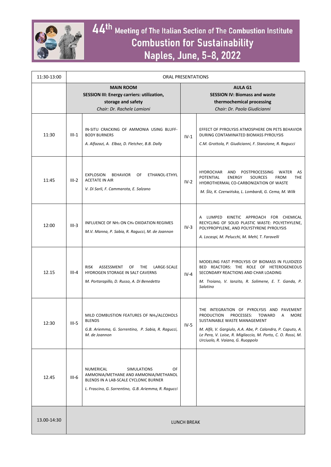

| 11:30-13:00 | <b>ORAL PRESENTATIONS</b>                                                                                                 |                                                                                                                                                                                |                                                                                                                     |                                                                                                                                                                                                                                                                                                             |
|-------------|---------------------------------------------------------------------------------------------------------------------------|--------------------------------------------------------------------------------------------------------------------------------------------------------------------------------|---------------------------------------------------------------------------------------------------------------------|-------------------------------------------------------------------------------------------------------------------------------------------------------------------------------------------------------------------------------------------------------------------------------------------------------------|
|             | <b>MAIN ROOM</b><br><b>SESSION III: Energy carriers: utilization,</b><br>storage and safety<br>Chair: Dr. Rachele Lamioni |                                                                                                                                                                                | <b>AULA G1</b><br><b>SESSION IV: Biomass and waste</b><br>thermochemical processing<br>Chair: Dr. Paola Giudicianni |                                                                                                                                                                                                                                                                                                             |
| 11:30       | $III-1$                                                                                                                   | IN-SITU CRACKING OF AMMONIA USING BLUFF-<br><b>BODY BURNERS</b><br>A. Alfazazi, A. Elbaz, D. Fletcher, B.B. Dally                                                              | $IV-1$                                                                                                              | EFFECT OF PYROLYSIS ATMOSPHERE ON PETS BEHAVIOR<br>DURING CONTAMINATED BIOMASS PYROLYSIS<br>C.M. Grottola, P. Giudicianni, F. Stanzione, R. Ragucci                                                                                                                                                         |
| 11:45       | $III - 2$                                                                                                                 | ETHANOL-ETHYL<br><b>EXPLOSION</b><br><b>BEHAVIOR</b><br>OF<br><b>ACETATE IN AIR</b><br>V. Di Sarli, F. Cammarota, E. Salzano                                                   | $IV-2$                                                                                                              | HYDROCHAR<br>POSTPROCESSING<br>WATER<br>AND<br>AS<br>POTENTIAL<br><b>FROM</b><br>ENERGY<br><b>SOURCES</b><br><b>THE</b><br>HYDROTHERMAL CO-CARBONIZATION OF WASTE<br>M. Śliz, K. Czerwińska, L. Lombardi, G. Cema, M. Wilk                                                                                  |
| 12:00       | $III-3$                                                                                                                   | INFLUENCE OF NH <sub>3</sub> ON CH <sub>4</sub> OXIDATION REGIMES<br>M.V. Manna, P. Sabia, R. Ragucci, M. de Joannon                                                           | $IV-3$                                                                                                              | A LUMPED KINETIC APPROACH FOR CHEMICAL<br>RECYCLING OF SOLID PLASTIC WASTE: POLYETHYLENE,<br>POLYPROPYLENE, AND POLYSTYRENE PYROLYSIS<br>A. Locaspi, M. Pelucchi, M. Mehl, T. Faravelli                                                                                                                     |
| 12.15       | $III - 4$                                                                                                                 | <b>RISK</b><br>ASSESSMENT<br>OF<br><b>THE</b><br>LARGE-SCALE<br>HYDROGEN STORAGE IN SALT CAVERNS<br>M. Portarapillo, D. Russo, A. Di Benedetto                                 | $IV-4$                                                                                                              | MODELING FAST PYROLYSIS OF BIOMASS IN FLUIDIZED<br>BED REACTORS: THE ROLE OF HETEROGENEOUS<br>SECONDARY REACTIONS AND CHAR LOADING<br>M. Troiano, V. Ianzito, R. Solimene, E. T. Ganda, P.<br>Salatino                                                                                                      |
| 12:30       | $III-5$                                                                                                                   | MILD COMBUSTION FEATURES OF NH <sub>3</sub> /ALCOHOLS<br><b>BLENDS</b><br>G.B. Ariemma, G. Sorrentino, P. Sabia, R. Ragucci,<br>M. de Joannon                                  | $IV-5$                                                                                                              | THE INTEGRATION OF PYROLYSIS AND PAVEMENT<br>PROCESSES:<br><b>PRODUCTION</b><br><b>TOWARD</b><br>MORE<br>A<br>SUSTAINABLE WASTE MANAGEMENT<br>M. Alfè, V. Gargiulo, A.A. Abe, P. Calandra, P. Caputo, A.<br>Le Pera, V. Loise, R. Migliaccio, M. Porto, C. O. Rossi, M.<br>Urciuolo, R. Vaiana, G. Ruoppolo |
| 12.45       | $III-6$                                                                                                                   | NUMERICAL<br><b>SIMULATIONS</b><br>OF<br>AMMONIA/METHANE AND AMMONIA/METHANOL<br>BLENDS IN A LAB-SCALE CYCLONIC BURNER<br>L. Frascino, G. Sorrentino, G.B. Ariemma, R. Raqucci |                                                                                                                     |                                                                                                                                                                                                                                                                                                             |
| 13.00-14:30 |                                                                                                                           |                                                                                                                                                                                | LUNCH BREAK                                                                                                         |                                                                                                                                                                                                                                                                                                             |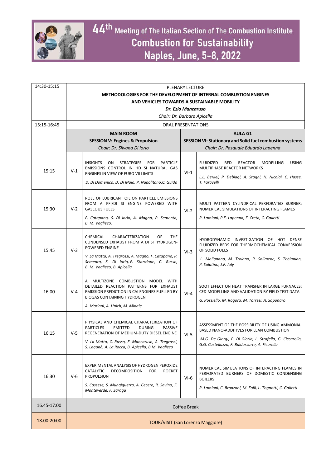

| 14:30-15:15 | <b>PLENARY LECTURE</b>                                           |                                                                                                                                                                                                                                                                      |              |                                                                                                                                                                                                             |  |  |
|-------------|------------------------------------------------------------------|----------------------------------------------------------------------------------------------------------------------------------------------------------------------------------------------------------------------------------------------------------------------|--------------|-------------------------------------------------------------------------------------------------------------------------------------------------------------------------------------------------------------|--|--|
|             | METHODOLOGIES FOR THE DEVELOPMENT OF INTERNAL COMBUSTION ENGINES |                                                                                                                                                                                                                                                                      |              |                                                                                                                                                                                                             |  |  |
|             |                                                                  | AND VEHICLES TOWARDS A SUSTAINABLE MOBILITY                                                                                                                                                                                                                          |              |                                                                                                                                                                                                             |  |  |
|             |                                                                  | Dr. Ezio Mancaruso                                                                                                                                                                                                                                                   |              |                                                                                                                                                                                                             |  |  |
|             |                                                                  | Chair: Dr. Barbara Apicella                                                                                                                                                                                                                                          |              |                                                                                                                                                                                                             |  |  |
| 15:15-16:45 |                                                                  | <b>ORAL PRESENTATIONS</b>                                                                                                                                                                                                                                            |              |                                                                                                                                                                                                             |  |  |
|             |                                                                  | <b>MAIN ROOM</b>                                                                                                                                                                                                                                                     |              | <b>AULA G1</b>                                                                                                                                                                                              |  |  |
|             |                                                                  | <b>SESSION V: Engines &amp; Propulsion</b>                                                                                                                                                                                                                           |              | <b>SESSION VI: Stationary and Solid fuel combustion systems</b>                                                                                                                                             |  |  |
|             | Chair: Dr. Silvana Di Iorio                                      |                                                                                                                                                                                                                                                                      |              | Chair: Dr. Pasquale Eduardo Lapenna                                                                                                                                                                         |  |  |
| 15:15       | $V-1$                                                            | <b>INSIGHTS</b><br>ON<br><b>STRATEGIES</b><br><b>FOR</b><br><b>PARTICLE</b><br>EMISSIONS CONTROL IN HD SI NATURAL GAS<br>ENGINES IN VIEW OF EURO VII LIMITS<br>D. Di Domenico, D. Di Maio, P. Napolitano, C. Guido                                                   | $VI-1$       | <b>FLUIDIZED</b><br><b>BED</b><br>REACTOR<br>MODELLING<br><b>USING</b><br>MULTIPHASE REACTOR NETWORKS<br>L.L. Berkel, P. Debiagi, A. Stagni, H. Nicolai, C. Hasse,<br>T. Faravelli                          |  |  |
| 15:30       | $V-2$                                                            | ROLE OF LUBRICANT OIL ON PARTICLE EMISSIONS<br>FROM A PFI/DI SI ENGINE POWERED WITH<br><b>GASEOUS FUELS</b><br>F. Catapano, S. Di Iorio, A. Magno, P. Sementa,<br>B. M. Vaglieco.                                                                                    | $VI-2$       | MULTI PATTERN CYLINDRICAL PERFORATED BURNER:<br>NUMERICAL SIMULATIONS OF INTERACTING FLAMES<br>R. Lamioni, P.E. Lapenna, F. Creta, C. Galletti                                                              |  |  |
| 15:45       | $V-3$                                                            | CHEMICAL<br>CHARACTERIZATION<br>OF<br><b>THE</b><br>CONDENSED EXHAUST FROM A DI SI HYDROGEN-<br><b>POWERED ENGINE</b><br>V. La Matta, A. Tregrossi, A. Magno, F. Catapano, P.<br>Sementa, S. Di Iorio, F. Stanzione, C. Russo,<br>B. M. Vaglieco, B. Apicella        | $VI-3$       | HYDRODYNAMIC INVESTIGATION OF HOT DENSE<br>FLUIDIZED BEDS FOR THERMOCHEMICAL CONVERSION<br>OF SOLID FUELS<br>L. Molignano, M. Troiano, R. Solimene, S. Tebianian,<br>P. Salatino, J.F. Joly                 |  |  |
| 16.00       | $V - 4$                                                          | A MULTIZONE COMBUSTION MODEL WITH<br>DETAILED REACTION PATTERNS FOR EXHAUST<br>EMISSION PREDICTION IN CAI ENGINES FUELLED BY<br><b>BIOGAS CONTAINING HYDROGEN</b><br>A. Mariani, A. Unich, M. Minale                                                                 | $VI-4$       | SOOT EFFECT ON HEAT TRANSFER IN LARGE FURNACES:<br>CFD MODELLING AND VALIDATION BY FIELD TEST DATA<br>G. Rossiello, M. Rogora, M. Torresi, A. Saponaro                                                      |  |  |
| 16:15       | $V-5$                                                            | PHYSICAL AND CHEMICAL CHARACTERIZATION OF<br><b>PARTICLES</b><br>PASSIVE<br><b>EMITTED</b><br><b>DURING</b><br>REGENERATION OF MEDIUM-DUTY DIESEL ENGINE<br>V. La Matta, C. Russo, E. Mancaruso, A. Tregrossi,<br>S. Laganà, A. La Rocca, B. Apicella, B.M. Vaglieco | $VI-5$       | ASSESSMENT OF THE POSSIBILITY OF USING AMMONIA-<br>BASED NANO-ADDITIVES FOR LEAN COMBUSTION<br>M.G. De Giorgi, P. Di Gloria, L. Strafella, G. Ciccarella,<br>G.G. Castelluzzo, F. Baldassarre, A. Ficarella |  |  |
| 16.30       | $V-6$                                                            | EXPERIMENTAL ANALYSIS OF HYDROGEN PEROXIDE<br>CATALYTIC<br><b>DECOMPOSITION</b><br><b>FOR</b><br><b>ROCKET</b><br><b>PROPULSION</b><br>S. Cassese, S. Mungiguerra, A. Cecere, R. Savino, F.<br>Monteverde, F. Saraga                                                 | $VI-6$       | NUMERICAL SIMULATIONS OF INTERACTING FLAMES IN<br>PERFORATED BURNERS OF DOMESTIC CONDENSING<br><b>BOILERS</b><br>R. Lamioni, C. Bronzoni, M. Folli, L. Tognotti, C. Galletti                                |  |  |
| 16.45-17:00 |                                                                  |                                                                                                                                                                                                                                                                      | Coffee Break |                                                                                                                                                                                                             |  |  |
| 18.00-20:00 | <b>TOUR/VISIT (San Lorenzo Maggiore)</b>                         |                                                                                                                                                                                                                                                                      |              |                                                                                                                                                                                                             |  |  |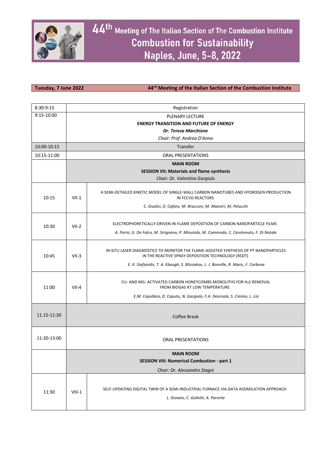

**Tuesday, 7 June 2022 44rd Meeting of the Italian Section of the Combustion Institute**

| 8:30-9:15   | Registration                                       |                                                                                                                              |  |  |  |
|-------------|----------------------------------------------------|------------------------------------------------------------------------------------------------------------------------------|--|--|--|
| 9:15-10:00  | PLENARY LECTURE                                    |                                                                                                                              |  |  |  |
|             | <b>ENERGY TRANSITION AND FUTURE OF ENERGY</b>      |                                                                                                                              |  |  |  |
|             | <b>Dr. Teresa Marchione</b>                        |                                                                                                                              |  |  |  |
|             | Chair: Prof. Andrea D'Anna                         |                                                                                                                              |  |  |  |
| 10:00-10:15 | Transfer                                           |                                                                                                                              |  |  |  |
| 10:15-11:00 | <b>ORAL PRESENTATIONS</b>                          |                                                                                                                              |  |  |  |
|             | <b>MAIN ROOM</b>                                   |                                                                                                                              |  |  |  |
|             |                                                    | <b>SESSION VII: Materials and flame synthesis</b>                                                                            |  |  |  |
|             | Chair: Dr. Valentina Gargiulo                      |                                                                                                                              |  |  |  |
| 10:15       | $VII-1$                                            | A SEMI-DETAILED KINETIC MODEL OF SINGLE-WALL CARBON NANOTUBES AND HYDROGEN PRODUCTION<br>IN FCCVD REACTORS                   |  |  |  |
|             |                                                    | C. Giudici, D. Cafaro, M. Bracconi, M. Maestri, M. Pelucchi                                                                  |  |  |  |
|             |                                                    |                                                                                                                              |  |  |  |
| 10:30       | $VII-2$                                            | ELECTROPHORETICALLY-DRIVEN IN-FLAME DEPOSITION OF CARBON NANOPARTICLE FILMS                                                  |  |  |  |
|             |                                                    | A. Parisi, G. De Falco, M. Sirignano, P. Minutolo, M. Commodo, C. Carotenuto, F. Di Natale                                   |  |  |  |
|             |                                                    |                                                                                                                              |  |  |  |
|             | $VII-3$                                            | IN-SITU LASER DIAGNOSTICS TO MONITOR THE FLAME-ASSISTED SYNTHESIS OF PT NANOPARTICLES                                        |  |  |  |
| 10:45       |                                                    | IN THE REACTIVE SPRAY DEPOSITION TECHNOLOGY (RSDT)                                                                           |  |  |  |
|             |                                                    | E. K. Stefanidis, T. A. Ebaugh, S. Bliznakov, L. J. Bonville, R. Maric, F. Carbone                                           |  |  |  |
|             | $VII-4$                                            |                                                                                                                              |  |  |  |
| 11:00       |                                                    | CU- AND MG- ACTIVATED CARBON HONEYCOMBS MONOLITHS FOR H2S REMOVAL<br>FROM BIOGAS AT LOW TEMPERATURE                          |  |  |  |
|             |                                                    | E.M. Cepollaro, D. Caputo, N. Gargiulo, F.A. Deorsola, S. Cimino, L. Lisi                                                    |  |  |  |
|             |                                                    |                                                                                                                              |  |  |  |
| 11.15-11:30 |                                                    |                                                                                                                              |  |  |  |
|             |                                                    | <b>Coffee Break</b>                                                                                                          |  |  |  |
|             |                                                    |                                                                                                                              |  |  |  |
| 11:30-13:00 |                                                    | <b>ORAL PRESENTATIONS</b>                                                                                                    |  |  |  |
|             |                                                    |                                                                                                                              |  |  |  |
|             | <b>MAIN ROOM</b>                                   |                                                                                                                              |  |  |  |
|             | <b>SESSION VIII: Numerical Combustion - part 1</b> |                                                                                                                              |  |  |  |
|             |                                                    | Chair: Dr. Alessandro Stagni                                                                                                 |  |  |  |
|             |                                                    |                                                                                                                              |  |  |  |
|             |                                                    | SELF-UPDATING DIGITAL TWIN OF A SEMI-INDUSTRIAL FURNACE VIA DATA ASSIMILATION APPROACH<br>L. Donato, C. Galletti, A. Parente |  |  |  |
| 11:30       | $VIII-1$                                           |                                                                                                                              |  |  |  |
|             |                                                    |                                                                                                                              |  |  |  |
|             |                                                    |                                                                                                                              |  |  |  |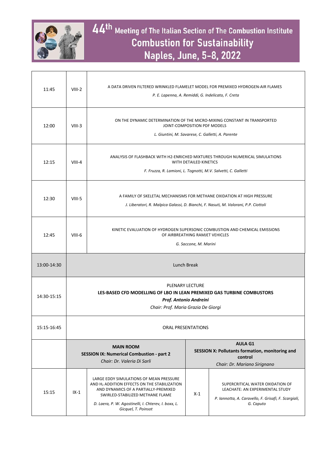

 $\overline{1}$ 

| 11:45       | $VIII-2$                                                                                                                                                                                                                   | A DATA DRIVEN FILTERED WRINKLED FLAMELET MODEL FOR PREMIXED HYDROGEN-AIR FLAMES<br>P. E. Lapenna, A. Remiddi, G. Indelicato, F. Creta                                                                                                                          |       |                                                                                                                                          |  |
|-------------|----------------------------------------------------------------------------------------------------------------------------------------------------------------------------------------------------------------------------|----------------------------------------------------------------------------------------------------------------------------------------------------------------------------------------------------------------------------------------------------------------|-------|------------------------------------------------------------------------------------------------------------------------------------------|--|
| 12:00       | $VIII-3$                                                                                                                                                                                                                   | ON THE DYNAMIC DETERMINATION OF THE MICRO-MIXING CONSTANT IN TRANSPORTED<br>JOINT-COMPOSITION PDF MODELS<br>L. Giuntini, M. Savarese, C. Galletti, A. Parente                                                                                                  |       |                                                                                                                                          |  |
| 12:15       | $VIII-4$                                                                                                                                                                                                                   | ANALYSIS OF FLASHBACK WITH H2-ENRICHED MIXTURES THROUGH NUMERICAL SIMULATIONS<br>WITH DETAILED KINETICS<br>F. Fruzza, R. Lamioni, L. Tognotti, M.V. Salvetti, C. Galletti                                                                                      |       |                                                                                                                                          |  |
| 12:30       | $VIII-5$                                                                                                                                                                                                                   | A FAMILY OF SKELETAL MECHANISMS FOR METHANE OXIDATION AT HIGH PRESSURE<br>J. Liberatori, R. Malpica Galassi, D. Bianchi, F. Nasuti, M. Valorani, P.P. Ciottoli                                                                                                 |       |                                                                                                                                          |  |
| 12:45       | $VIII-6$                                                                                                                                                                                                                   | KINETIC EVALUATION OF HYDROGEN SUPERSONIC COMBUSTION AND CHEMICAL EMISSIONS<br>OF AIRBREATHING RAMJET VEHICLES<br>G. Saccone, M. Marini                                                                                                                        |       |                                                                                                                                          |  |
| 13:00-14:30 | <b>Lunch Break</b>                                                                                                                                                                                                         |                                                                                                                                                                                                                                                                |       |                                                                                                                                          |  |
| 14:30-15:15 | <b>PLENARY LECTURE</b><br>LES-BASED CFD MODELLING OF LBO IN LEAN PREMIXED GAS TURBINE COMBUSTORS<br>Prof. Antonio Andreini<br>Chair: Prof. Maria Grazia De Giorgi                                                          |                                                                                                                                                                                                                                                                |       |                                                                                                                                          |  |
| 15:15-16:45 | <b>ORAL PRESENTATIONS</b>                                                                                                                                                                                                  |                                                                                                                                                                                                                                                                |       |                                                                                                                                          |  |
|             | <b>AULA G1</b><br><b>MAIN ROOM</b><br><b>SESSION X: Pollutants formation, monitoring and</b><br><b>SESSION IX: Numerical Combustion - part 2</b><br>control<br>Chair: Dr. Valeria Di Sarli<br>Chair: Dr. Mariano Sirignano |                                                                                                                                                                                                                                                                |       |                                                                                                                                          |  |
| 15:15       | $IX-1$                                                                                                                                                                                                                     | LARGE EDDY SIMULATIONS OF MEAN PRESSURE<br>AND H <sub>2</sub> ADDITION EFFECTS ON THE STABILIZATION<br>AND DYNAMICS OF A PARTIALLY-PREMIXED<br>SWIRLED-STABILIZED METHANE FLAME<br>D. Laera, P. W. Agostinelli, I. Chterev, I. boxx, L.<br>Gicquel, T. Poinsot | $X-1$ | SUPERCRITICAL WATER OXIDATION OF<br>LEACHATE: AN EXPERIMENTAL STUDY<br>P. Iannotta, A. Caravello, F. Grisafi, F. Scargiali,<br>G. Caputo |  |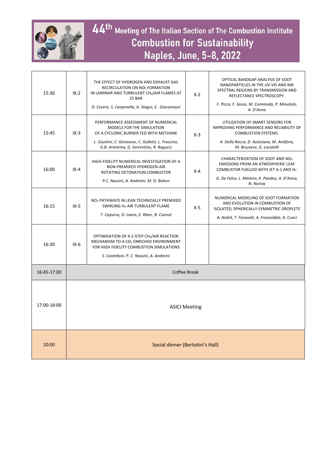

| 15:30       | $IX - 2$                         | THE EFFECT OF HYDROGEN AND EXHAUST GAS<br>RECIRCULATION ON NO <sub>x</sub> FORMATION<br>IN LAMINAR AND TURBULENT CH4/AIR FLAMES AT<br><b>25 BAR</b><br>D. Cecere, S. Carpenella, A. Stagni, E. Giacomazzi          | $X-2$ | OPTICAL BANDGAP ANALYSIS OF SOOT<br>NANOPARTICLES IN THE UV-VIS AND NIR<br>SPECTRAL REGIONS BY TRANSMISSION AND<br>REFLECTANCE SPECTROSCOPY<br>F. Picca, F. Sasso, M. Commodo, P. Minutolo,<br>A. D'Anna      |
|-------------|----------------------------------|--------------------------------------------------------------------------------------------------------------------------------------------------------------------------------------------------------------------|-------|---------------------------------------------------------------------------------------------------------------------------------------------------------------------------------------------------------------|
| 15:45       | $IX - 3$                         | PERFORMANCE ASSESSMENT OF NUMERICAL<br><b>MODELS FOR THE SIMULATION</b><br>OF A CYCLONIC BURNER FED WITH METHANE<br>L. Giuntini, C. Genovese, C. Galletti, L. Frascino,<br>G.B. Ariemma, G. Sorrentino, R. Ragucci | $X-3$ | UTILIZATION OF SMART SENSORS FOR<br><b>IMPROVING PERFORMANCE AND RELIABILITY OF</b><br><b>COMBUSTION SYSTEMS</b><br>A. Della Rocca, D. Astesiano, M. Antifora,<br>M. Bruzzese, G. Locatelli                   |
| 16:00       | $IX - 4$                         | HIGH-FIDELITY NUMERICAL INVESTIGATION OF A<br>NON-PREMIXED HYDROGEN-AIR<br>ROTATING DETONATION COMBUSTOR<br>P.C. Nassini, A. Andreini, M. D. Bohon                                                                 | $X-4$ | CHARACTERIZATION OF SOOT AND NO <sub>x</sub><br><b>EMISSIONS FROM AN ATMOSPHERIC LEAF</b><br>COMBUSTOR FUELLED WITH JET A-1 AND H <sub>2</sub><br>G. De Falco, L. Miniero, K. Pandey, A. D'Anna,<br>N. Noiray |
| 16:15       | $IX-5$                           | NO <sub>x</sub> PATHWAYS IN LEAN TECHNICALLY PREMIXED<br>SWIRLING H2-AIR TURBULENT FLAME<br>T. Capurso, D. Laera, E. Riber, B. Cuenot                                                                              | $X-5$ | NUMERICAL MODELING OF SOOT FORMATION<br>AND EVOLUTION IN COMBUSTION OF<br>ISOLATED, SPHERICALLY-SYMMETRIC DROPLETS<br>A. Nobili, T. Faravelli, A. Frassoldati, A. Cuoci                                       |
| 16:30       | $IX-6$                           | OPTIMISATION OF A 2-STEP CH4/AIR REACTION<br>MECHANISM TO A CO <sub>2</sub> ENRICHED ENVIRONMENT<br>FOR HIGH FIDELITY COMBUSTION SIMULATIONS<br>S. Castellani, P. C. Nassini, A. Andreini                          |       |                                                                                                                                                                                                               |
| 16:45-17:00 | <b>Coffee Break</b>              |                                                                                                                                                                                                                    |       |                                                                                                                                                                                                               |
| 17:00-18:00 | <b>ASICI Meeting</b>             |                                                                                                                                                                                                                    |       |                                                                                                                                                                                                               |
| 20:00       | Social dinner (Bertolini's Hall) |                                                                                                                                                                                                                    |       |                                                                                                                                                                                                               |